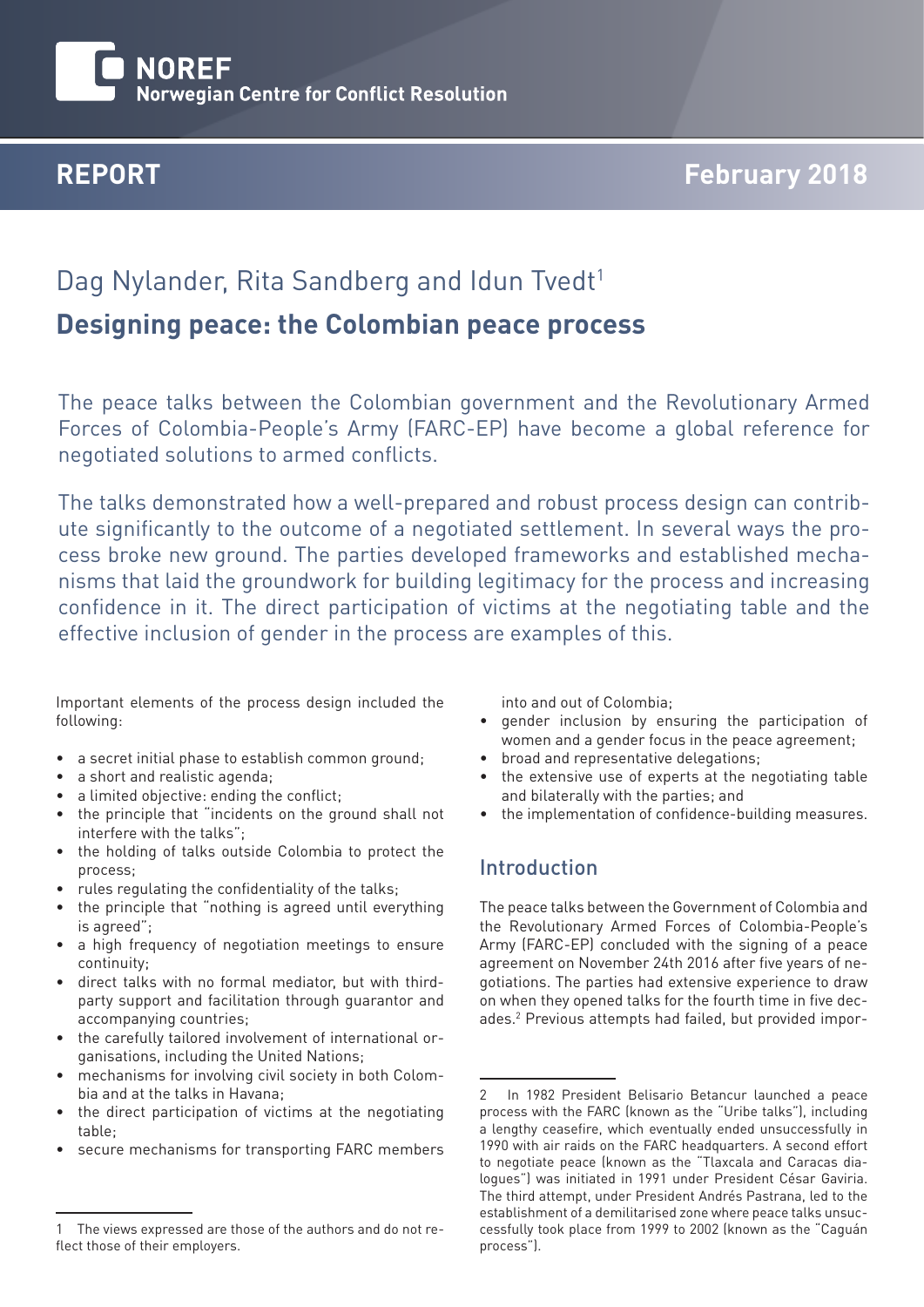# **NOREF Norwegian Centre for Conflict Resolution**

# **REPORT February 2018**

# Dag Nylander, Rita Sandberg and Idun Tvedt<sup>1</sup>

# **Designing peace: the Colombian peace process**

The peace talks between the Colombian government and the Revolutionary Armed Forces of Colombia-People's Army (FARC-EP) have become a global reference for negotiated solutions to armed conflicts.

The talks demonstrated how a well-prepared and robust process design can contribute significantly to the outcome of a negotiated settlement. In several ways the process broke new ground. The parties developed frameworks and established mechanisms that laid the groundwork for building legitimacy for the process and increasing confidence in it. The direct participation of victims at the negotiating table and the effective inclusion of gender in the process are examples of this.

Important elements of the process design included the following:

- a secret initial phase to establish common ground;
- a short and realistic agenda:
- a limited objective: ending the conflict;
- the principle that "incidents on the ground shall not interfere with the talks";
- the holding of talks outside Colombia to protect the process;
- rules regulating the confidentiality of the talks;
- the principle that "nothing is agreed until everything is agreed";
- a high frequency of negotiation meetings to ensure continuity;
- direct talks with no formal mediator, but with thirdparty support and facilitation through guarantor and accompanying countries;
- the carefully tailored involvement of international organisations, including the United Nations;
- mechanisms for involving civil society in both Colombia and at the talks in Havana;
- the direct participation of victims at the negotiating table;
- secure mechanisms for transporting FARC members

into and out of Colombia;

- gender inclusion by ensuring the participation of women and a gender focus in the peace agreement;
- broad and representative delegations;
- the extensive use of experts at the negotiating table and bilaterally with the parties; and
- the implementation of confidence-building measures.

## Introduction

The peace talks between the Government of Colombia and the Revolutionary Armed Forces of Colombia-People's Army (FARC-EP) concluded with the signing of a peace agreement on November 24th 2016 after five years of negotiations. The parties had extensive experience to draw on when they opened talks for the fourth time in five decades.2 Previous attempts had failed, but provided impor-

<sup>1</sup> The views expressed are those of the authors and do not reflect those of their employers.

<sup>2</sup> In 1982 President Belisario Betancur launched a peace process with the FARC (known as the "Uribe talks"), including a lengthy ceasefire, which eventually ended unsuccessfully in 1990 with air raids on the FARC headquarters. A second effort to negotiate peace (known as the "Tlaxcala and Caracas dialogues") was initiated in 1991 under President César Gaviria. The third attempt, under President Andrés Pastrana, led to the establishment of a demilitarised zone where peace talks unsuccessfully took place from 1999 to 2002 (known as the "Caguán process").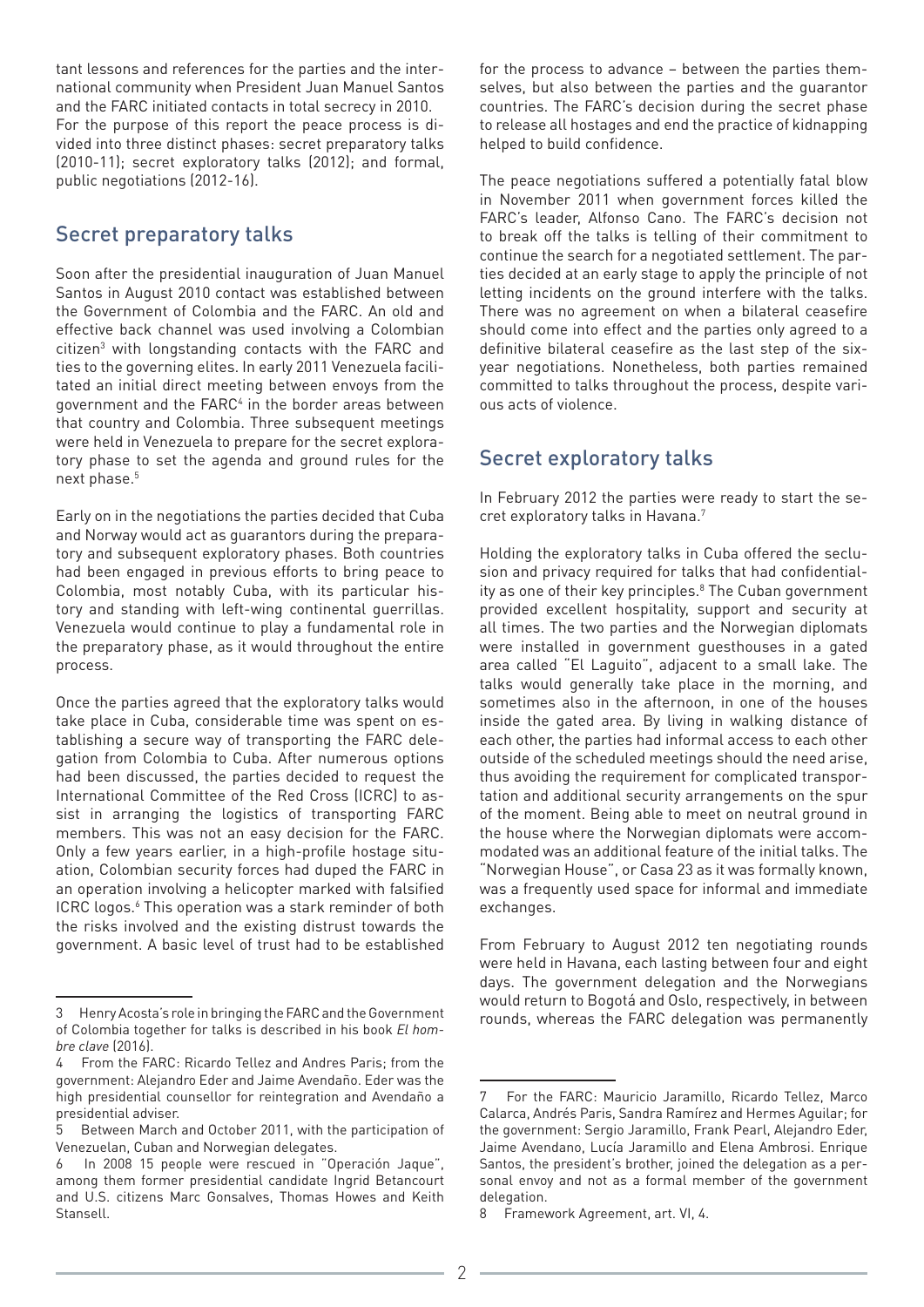tant lessons and references for the parties and the international community when President Juan Manuel Santos and the FARC initiated contacts in total secrecy in 2010. For the purpose of this report the peace process is divided into three distinct phases: secret preparatory talks (2010-11); secret exploratory talks (2012); and formal, public negotiations (2012-16).

### Secret preparatory talks

Soon after the presidential inauguration of Juan Manuel Santos in August 2010 contact was established between the Government of Colombia and the FARC. An old and effective back channel was used involving a Colombian citizen<sup>3</sup> with longstanding contacts with the FARC and ties to the governing elites. In early 2011 Venezuela facilitated an initial direct meeting between envoys from the government and the FARC<sup>4</sup> in the border areas between that country and Colombia. Three subsequent meetings were held in Venezuela to prepare for the secret exploratory phase to set the agenda and ground rules for the next phase.<sup>5</sup>

Early on in the negotiations the parties decided that Cuba and Norway would act as guarantors during the preparatory and subsequent exploratory phases. Both countries had been engaged in previous efforts to bring peace to Colombia, most notably Cuba, with its particular history and standing with left-wing continental guerrillas. Venezuela would continue to play a fundamental role in the preparatory phase, as it would throughout the entire process.

Once the parties agreed that the exploratory talks would take place in Cuba, considerable time was spent on establishing a secure way of transporting the FARC delegation from Colombia to Cuba. After numerous options had been discussed, the parties decided to request the International Committee of the Red Cross (ICRC) to assist in arranging the logistics of transporting FARC members. This was not an easy decision for the FARC. Only a few years earlier, in a high-profile hostage situation, Colombian security forces had duped the FARC in an operation involving a helicopter marked with falsified ICRC logos.<sup>6</sup> This operation was a stark reminder of both the risks involved and the existing distrust towards the government. A basic level of trust had to be established

for the process to advance – between the parties themselves, but also between the parties and the guarantor countries. The FARC's decision during the secret phase to release all hostages and end the practice of kidnapping helped to build confidence.

The peace negotiations suffered a potentially fatal blow in November 2011 when government forces killed the FARC's leader, Alfonso Cano. The FARC's decision not to break off the talks is telling of their commitment to continue the search for a negotiated settlement. The parties decided at an early stage to apply the principle of not letting incidents on the ground interfere with the talks. There was no agreement on when a bilateral ceasefire should come into effect and the parties only agreed to a definitive bilateral ceasefire as the last step of the sixyear negotiations. Nonetheless, both parties remained committed to talks throughout the process, despite various acts of violence.

### Secret exploratory talks

In February 2012 the parties were ready to start the secret exploratory talks in Havana.7

Holding the exploratory talks in Cuba offered the seclusion and privacy required for talks that had confidentiality as one of their key principles.<sup>8</sup> The Cuban government provided excellent hospitality, support and security at all times. The two parties and the Norwegian diplomats were installed in government guesthouses in a gated area called "El Laguito", adjacent to a small lake. The talks would generally take place in the morning, and sometimes also in the afternoon, in one of the houses inside the gated area. By living in walking distance of each other, the parties had informal access to each other outside of the scheduled meetings should the need arise, thus avoiding the requirement for complicated transportation and additional security arrangements on the spur of the moment. Being able to meet on neutral ground in the house where the Norwegian diplomats were accommodated was an additional feature of the initial talks. The "Norwegian House", or Casa 23 as it was formally known, was a frequently used space for informal and immediate exchanges.

From February to August 2012 ten negotiating rounds were held in Havana, each lasting between four and eight days. The government delegation and the Norwegians would return to Bogotá and Oslo, respectively, in between rounds, whereas the FARC delegation was permanently

<sup>3</sup> Henry Acosta's role in bringing the FARC and the Government of Colombia together for talks is described in his book *El hombre clave* (2016).

<sup>4</sup> From the FARC: Ricardo Tellez and Andres Paris; from the government: Alejandro Eder and Jaime Avendaño. Eder was the high presidential counsellor for reintegration and Avendaño a presidential adviser.

<sup>5</sup> Between March and October 2011, with the participation of Venezuelan, Cuban and Norwegian delegates.

<sup>6</sup> In 2008 15 people were rescued in "Operación Jaque", among them former presidential candidate Ingrid Betancourt and U.S. citizens Marc Gonsalves, Thomas Howes and Keith Stansell.

<sup>7</sup> For the FARC: Mauricio Jaramillo, Ricardo Tellez, Marco Calarca, Andrés Paris, Sandra Ramírez and Hermes Aguilar; for the government: Sergio Jaramillo, Frank Pearl, Alejandro Eder, Jaime Avendano, Lucía Jaramillo and Elena Ambrosi. Enrique Santos, the president's brother, joined the delegation as a personal envoy and not as a formal member of the government delegation.

<sup>8</sup> Framework Agreement, art. VI, 4.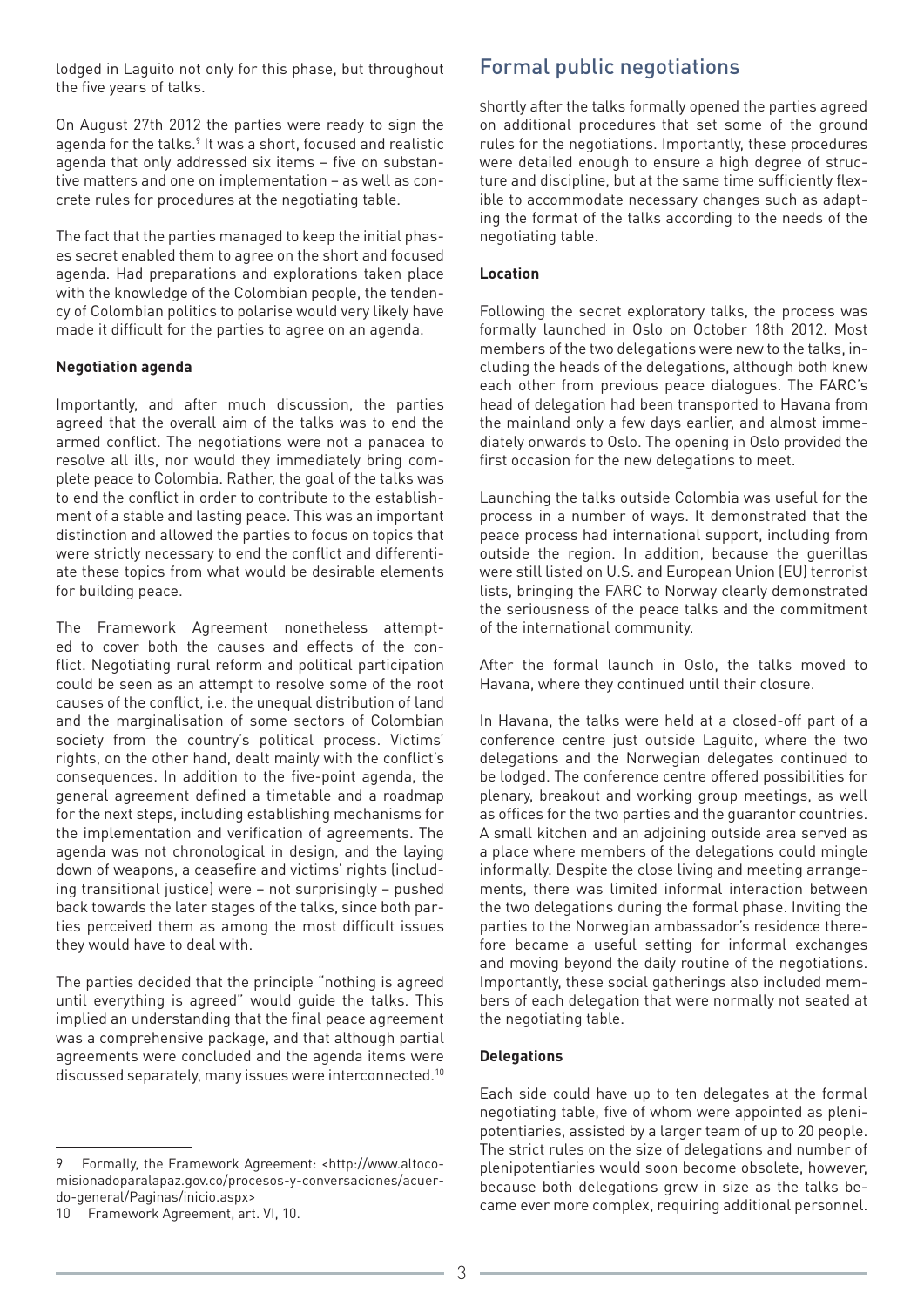lodged in Laguito not only for this phase, but throughout the five years of talks.

On August 27th 2012 the parties were ready to sign the agenda for the talks.<sup>9</sup> It was a short, focused and realistic agenda that only addressed six items – five on substantive matters and one on implementation – as well as concrete rules for procedures at the negotiating table.

The fact that the parties managed to keep the initial phases secret enabled them to agree on the short and focused agenda. Had preparations and explorations taken place with the knowledge of the Colombian people, the tendency of Colombian politics to polarise would very likely have made it difficult for the parties to agree on an agenda.

#### **Negotiation agenda**

Importantly, and after much discussion, the parties agreed that the overall aim of the talks was to end the armed conflict. The negotiations were not a panacea to resolve all ills, nor would they immediately bring complete peace to Colombia. Rather, the goal of the talks was to end the conflict in order to contribute to the establishment of a stable and lasting peace. This was an important distinction and allowed the parties to focus on topics that were strictly necessary to end the conflict and differentiate these topics from what would be desirable elements for building peace.

The Framework Agreement nonetheless attempted to cover both the causes and effects of the conflict. Negotiating rural reform and political participation could be seen as an attempt to resolve some of the root causes of the conflict, i.e. the unequal distribution of land and the marginalisation of some sectors of Colombian society from the country's political process. Victims' rights, on the other hand, dealt mainly with the conflict's consequences. In addition to the five-point agenda, the general agreement defined a timetable and a roadmap for the next steps, including establishing mechanisms for the implementation and verification of agreements. The agenda was not chronological in design, and the laying down of weapons, a ceasefire and victims' rights (including transitional justice) were – not surprisingly – pushed back towards the later stages of the talks, since both parties perceived them as among the most difficult issues they would have to deal with.

The parties decided that the principle "nothing is agreed until everything is agreed" would guide the talks. This implied an understanding that the final peace agreement was a comprehensive package, and that although partial agreements were concluded and the agenda items were discussed separately, many issues were interconnected.<sup>10</sup>

# Formal public negotiations

Shortly after the talks formally opened the parties agreed on additional procedures that set some of the ground rules for the negotiations. Importantly, these procedures were detailed enough to ensure a high degree of structure and discipline, but at the same time sufficiently flexible to accommodate necessary changes such as adapting the format of the talks according to the needs of the negotiating table.

#### **Location**

Following the secret exploratory talks, the process was formally launched in Oslo on October 18th 2012. Most members of the two delegations were new to the talks, including the heads of the delegations, although both knew each other from previous peace dialogues. The FARC's head of delegation had been transported to Havana from the mainland only a few days earlier, and almost immediately onwards to Oslo. The opening in Oslo provided the first occasion for the new delegations to meet.

Launching the talks outside Colombia was useful for the process in a number of ways. It demonstrated that the peace process had international support, including from outside the region. In addition, because the guerillas were still listed on U.S. and European Union (EU) terrorist lists, bringing the FARC to Norway clearly demonstrated the seriousness of the peace talks and the commitment of the international community.

After the formal launch in Oslo, the talks moved to Havana, where they continued until their closure.

In Havana, the talks were held at a closed-off part of a conference centre just outside Laguito, where the two delegations and the Norwegian delegates continued to be lodged. The conference centre offered possibilities for plenary, breakout and working group meetings, as well as offices for the two parties and the guarantor countries. A small kitchen and an adjoining outside area served as a place where members of the delegations could mingle informally. Despite the close living and meeting arrangements, there was limited informal interaction between the two delegations during the formal phase. Inviting the parties to the Norwegian ambassador's residence therefore became a useful setting for informal exchanges and moving beyond the daily routine of the negotiations. Importantly, these social gatherings also included members of each delegation that were normally not seated at the negotiating table.

#### **Delegations**

Each side could have up to ten delegates at the formal negotiating table, five of whom were appointed as plenipotentiaries, assisted by a larger team of up to 20 people. The strict rules on the size of delegations and number of plenipotentiaries would soon become obsolete, however, because both delegations grew in size as the talks became ever more complex, requiring additional personnel.

<sup>9</sup> Formally, the Framework Agreement: <[http://www.altoco](http://www.altocomisionadoparalapaz.gov.co/procesos-y-conversaciones/acuerdo-general/Paginas/inicio.)[misionadoparalapaz.gov.co/procesos-y-conversaciones/acuer](http://www.altocomisionadoparalapaz.gov.co/procesos-y-conversaciones/acuerdo-general/Paginas/inicio.)[do-general/Paginas/inicio.aspx](http://www.altocomisionadoparalapaz.gov.co/procesos-y-conversaciones/acuerdo-general/Paginas/inicio.)>

<sup>10</sup> Framework Agreement, art. VI, 10.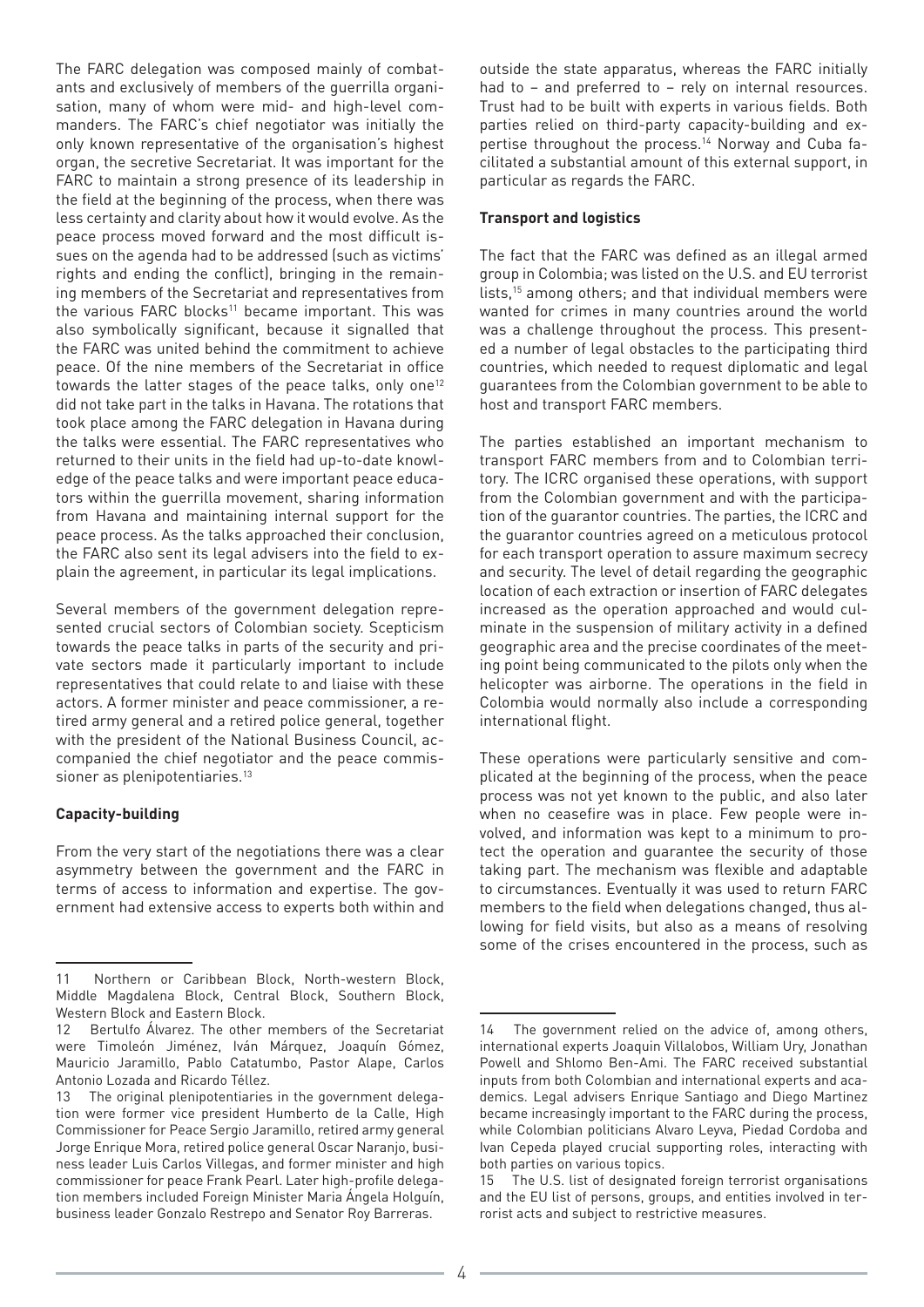The FARC delegation was composed mainly of combatants and exclusively of members of the guerrilla organisation, many of whom were mid- and high-level commanders. The FARC's chief negotiator was initially the only known representative of the organisation's highest organ, the secretive Secretariat. It was important for the FARC to maintain a strong presence of its leadership in the field at the beginning of the process, when there was less certainty and clarity about how it would evolve. As the peace process moved forward and the most difficult issues on the agenda had to be addressed (such as victims' rights and ending the conflict), bringing in the remaining members of the Secretariat and representatives from the various FARC blocks<sup>11</sup> became important. This was also symbolically significant, because it signalled that the FARC was united behind the commitment to achieve peace. Of the nine members of the Secretariat in office towards the latter stages of the peace talks, only one<sup>12</sup> did not take part in the talks in Havana. The rotations that took place among the FARC delegation in Havana during the talks were essential. The FARC representatives who returned to their units in the field had up-to-date knowledge of the peace talks and were important peace educators within the guerrilla movement, sharing information from Havana and maintaining internal support for the peace process. As the talks approached their conclusion, the FARC also sent its legal advisers into the field to explain the agreement, in particular its legal implications.

Several members of the government delegation represented crucial sectors of Colombian society. Scepticism towards the peace talks in parts of the security and private sectors made it particularly important to include representatives that could relate to and liaise with these actors. A former minister and peace commissioner, a retired army general and a retired police general, together with the president of the National Business Council, accompanied the chief negotiator and the peace commissioner as plenipotentiaries.<sup>13</sup>

#### **Capacity-building**

From the very start of the negotiations there was a clear asymmetry between the government and the FARC in terms of access to information and expertise. The government had extensive access to experts both within and

outside the state apparatus, whereas the FARC initially had to – and preferred to – rely on internal resources. Trust had to be built with experts in various fields. Both parties relied on third-party capacity-building and expertise throughout the process.<sup>14</sup> Norway and Cuba facilitated a substantial amount of this external support, in particular as regards the FARC.

#### **Transport and logistics**

The fact that the FARC was defined as an illegal armed group in Colombia; was listed on the U.S. and EU terrorist lists,15 among others; and that individual members were wanted for crimes in many countries around the world was a challenge throughout the process. This presented a number of legal obstacles to the participating third countries, which needed to request diplomatic and legal guarantees from the Colombian government to be able to host and transport FARC members.

The parties established an important mechanism to transport FARC members from and to Colombian territory. The ICRC organised these operations, with support from the Colombian government and with the participation of the guarantor countries. The parties, the ICRC and the guarantor countries agreed on a meticulous protocol for each transport operation to assure maximum secrecy and security. The level of detail regarding the geographic location of each extraction or insertion of FARC delegates increased as the operation approached and would culminate in the suspension of military activity in a defined geographic area and the precise coordinates of the meeting point being communicated to the pilots only when the helicopter was airborne. The operations in the field in Colombia would normally also include a corresponding international flight.

These operations were particularly sensitive and complicated at the beginning of the process, when the peace process was not yet known to the public, and also later when no ceasefire was in place. Few people were involved, and information was kept to a minimum to protect the operation and guarantee the security of those taking part. The mechanism was flexible and adaptable to circumstances. Eventually it was used to return FARC members to the field when delegations changed, thus allowing for field visits, but also as a means of resolving some of the crises encountered in the process, such as

<sup>11</sup> Northern or Caribbean Block, North-western Block, Middle Magdalena Block, Central Block, Southern Block, Western Block and Eastern Block.

<sup>12</sup> Bertulfo Álvarez. The other members of the Secretariat were Timoleón Jiménez, Iván Márquez, Joaquín Gómez, Mauricio Jaramillo, Pablo Catatumbo, Pastor Alape, Carlos Antonio Lozada and Ricardo Téllez.

<sup>13</sup> The original plenipotentiaries in the government delegation were former vice president Humberto de la Calle, High Commissioner for Peace Sergio Jaramillo, retired army general Jorge Enrique Mora, retired police general Oscar Naranjo, business leader Luis Carlos Villegas, and former minister and high commissioner for peace Frank Pearl. Later high-profile delegation members included Foreign Minister Maria Ángela Holguín, business leader Gonzalo Restrepo and Senator Roy Barreras.

<sup>14</sup> The government relied on the advice of, among others, international experts Joaquin Villalobos, William Ury, Jonathan Powell and Shlomo Ben-Ami. The FARC received substantial inputs from both Colombian and international experts and academics. Legal advisers Enrique Santiago and Diego Martinez became increasingly important to the FARC during the process, while Colombian politicians Alvaro Leyva, Piedad Cordoba and Ivan Cepeda played crucial supporting roles, interacting with both parties on various topics.

<sup>15</sup> The U.S. list of designated foreign terrorist organisations and the EU list of persons, groups, and entities involved in terrorist acts and subject to restrictive measures.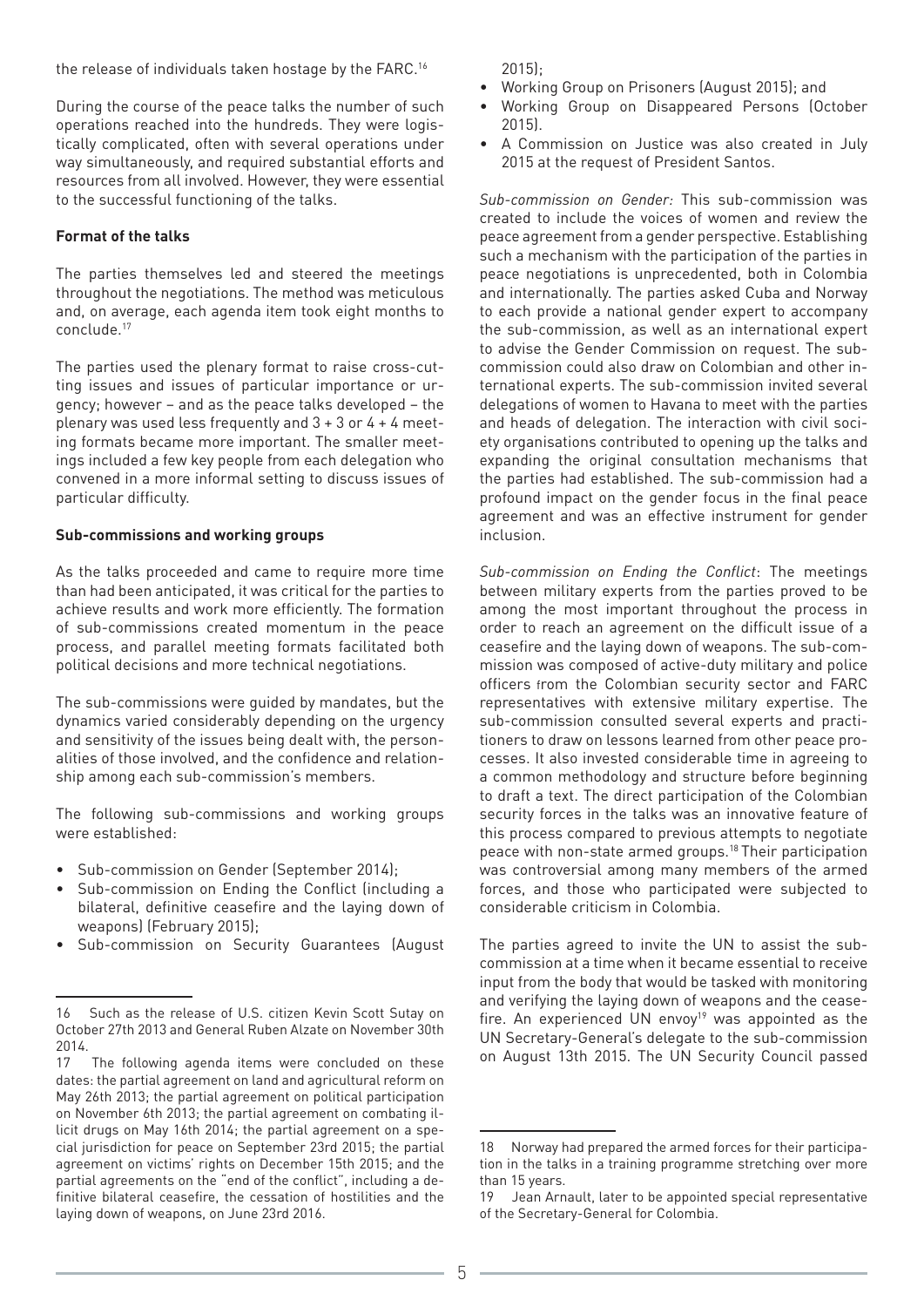the release of individuals taken hostage by the FARC.16

During the course of the peace talks the number of such operations reached into the hundreds. They were logistically complicated, often with several operations under way simultaneously, and required substantial efforts and resources from all involved. However, they were essential to the successful functioning of the talks.

#### **Format of the talks**

The parties themselves led and steered the meetings throughout the negotiations. The method was meticulous and, on average, each agenda item took eight months to conclude.17

The parties used the plenary format to raise cross-cutting issues and issues of particular importance or urgency; however – and as the peace talks developed – the plenary was used less frequently and  $3 + 3$  or  $4 + 4$  meeting formats became more important. The smaller meetings included a few key people from each delegation who convened in a more informal setting to discuss issues of particular difficulty.

#### **Sub-commissions and working groups**

As the talks proceeded and came to require more time than had been anticipated, it was critical for the parties to achieve results and work more efficiently. The formation of sub-commissions created momentum in the peace process, and parallel meeting formats facilitated both political decisions and more technical negotiations.

The sub-commissions were guided by mandates, but the dynamics varied considerably depending on the urgency and sensitivity of the issues being dealt with, the personalities of those involved, and the confidence and relationship among each sub-commission's members.

The following sub-commissions and working groups were established:

- Sub-commission on Gender (September 2014);
- Sub-commission on Ending the Conflict (including a bilateral, definitive ceasefire and the laying down of weapons) (February 2015);
- Sub-commission on Security Guarantees (August

2015);

- Working Group on Prisoners (August 2015); and
- Working Group on Disappeared Persons (October 2015).
- A Commission on Justice was also created in July 2015 at the request of President Santos.

*Sub-commission on Gender:* This sub-commission was created to include the voices of women and review the peace agreement from a gender perspective. Establishing such a mechanism with the participation of the parties in peace negotiations is unprecedented, both in Colombia and internationally. The parties asked Cuba and Norway to each provide a national gender expert to accompany the sub-commission, as well as an international expert to advise the Gender Commission on request. The subcommission could also draw on Colombian and other international experts. The sub-commission invited several delegations of women to Havana to meet with the parties and heads of delegation. The interaction with civil society organisations contributed to opening up the talks and expanding the original consultation mechanisms that the parties had established. The sub-commission had a profound impact on the gender focus in the final peace agreement and was an effective instrument for gender inclusion.

*Sub-commission on Ending the Conflict*: The meetings between military experts from the parties proved to be among the most important throughout the process in order to reach an agreement on the difficult issue of a ceasefire and the laying down of weapons. The sub-commission was composed of active-duty military and police officers from the Colombian security sector and FARC representatives with extensive military expertise. The sub-commission consulted several experts and practitioners to draw on lessons learned from other peace processes. It also invested considerable time in agreeing to a common methodology and structure before beginning to draft a text. The direct participation of the Colombian security forces in the talks was an innovative feature of this process compared to previous attempts to negotiate peace with non-state armed groups.<sup>18</sup> Their participation was controversial among many members of the armed forces, and those who participated were subjected to considerable criticism in Colombia.

The parties agreed to invite the UN to assist the subcommission at a time when it became essential to receive input from the body that would be tasked with monitoring and verifying the laying down of weapons and the ceasefire. An experienced UN envoy<sup>19</sup> was appointed as the UN Secretary-General's delegate to the sub-commission on August 13th 2015. The UN Security Council passed

<sup>16</sup> Such as the release of U.S. citizen Kevin Scott Sutay on October 27th 2013 and General Ruben Alzate on November 30th 2014.

<sup>17</sup> The following agenda items were concluded on these dates: the partial agreement on land and agricultural reform on May 26th 2013; the partial agreement on political participation on November 6th 2013; the partial agreement on combating illicit drugs on May 16th 2014; the partial agreement on a special jurisdiction for peace on September 23rd 2015; the partial agreement on victims' rights on December 15th 2015; and the partial agreements on the "end of the conflict", including a definitive bilateral ceasefire, the cessation of hostilities and the laying down of weapons, on June 23rd 2016.

<sup>18</sup> Norway had prepared the armed forces for their participation in the talks in a training programme stretching over more than 15 years.

<sup>19</sup> Jean Arnault, later to be appointed special representative of the Secretary-General for Colombia.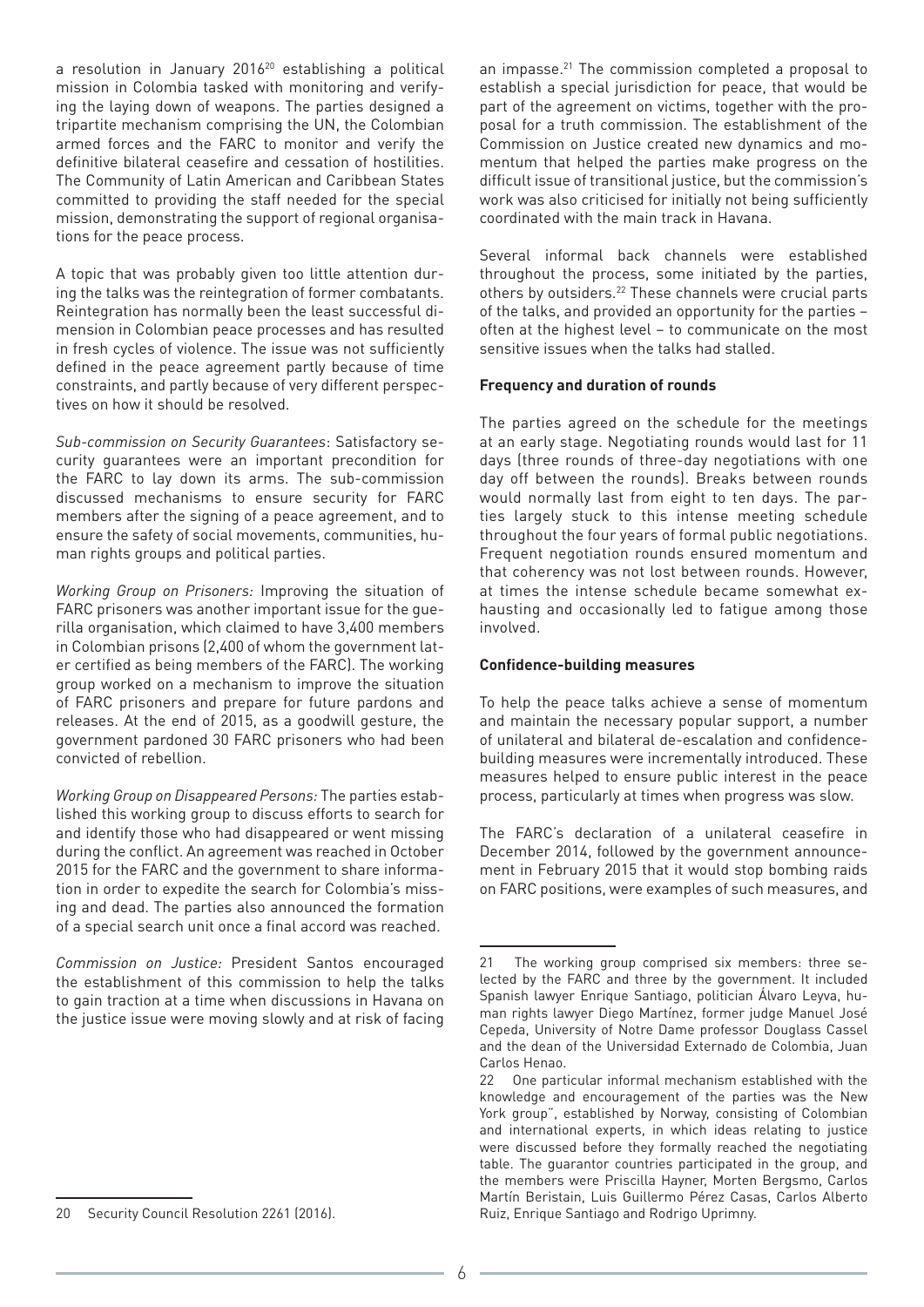a resolution in January 2016<sup>20</sup> establishing a political mission in Colombia tasked with monitoring and verifying the laying down of weapons. The parties designed a tripartite mechanism comprising the UN, the Colombian armed forces and the FARC to monitor and verify the definitive bilateral ceasefire and cessation of hostilities. The Community of Latin American and Caribbean States committed to providing the staff needed for the special mission, demonstrating the support of regional organisations for the peace process.

A topic that was probably given too little attention during the talks was the reintegration of former combatants. Reintegration has normally been the least successful dimension in Colombian peace processes and has resulted in fresh cycles of violence. The issue was not sufficiently defined in the peace agreement partly because of time constraints, and partly because of very different perspectives on how it should be resolved.

*Sub-commission on Security Guarantees*: Satisfactory security guarantees were an important precondition for the FARC to lay down its arms. The sub-commission discussed mechanisms to ensure security for FARC members after the signing of a peace agreement, and to ensure the safety of social movements, communities, human rights groups and political parties.

*Working Group on Prisoners:* Improving the situation of FARC prisoners was another important issue for the guerilla organisation, which claimed to have 3,400 members in Colombian prisons (2,400 of whom the government later certified as being members of the FARC). The working group worked on a mechanism to improve the situation of FARC prisoners and prepare for future pardons and releases. At the end of 2015, as a goodwill gesture, the government pardoned 30 FARC prisoners who had been convicted of rebellion.

*Working Group on Disappeared Persons:* The parties established this working group to discuss efforts to search for and identify those who had disappeared or went missing during the conflict. An agreement was reached in October 2015 for the FARC and the government to share information in order to expedite the search for Colombia's missing and dead. The parties also announced the formation of a special search unit once a final accord was reached.

*Commission on Justice:* President Santos encouraged the establishment of this commission to help the talks to gain traction at a time when discussions in Havana on the justice issue were moving slowly and at risk of facing

20 Security Council Resolution 2261 (2016).

an impasse.21 The commission completed a proposal to establish a special jurisdiction for peace, that would be part of the agreement on victims, together with the proposal for a truth commission. The establishment of the Commission on Justice created new dynamics and momentum that helped the parties make progress on the difficult issue of transitional justice, but the commission's work was also criticised for initially not being sufficiently coordinated with the main track in Havana.

Several informal back channels were established throughout the process, some initiated by the parties, others by outsiders.<sup>22</sup> These channels were crucial parts of the talks, and provided an opportunity for the parties – often at the highest level – to communicate on the most sensitive issues when the talks had stalled.

#### **Frequency and duration of rounds**

The parties agreed on the schedule for the meetings at an early stage. Negotiating rounds would last for 11 days (three rounds of three-day negotiations with one day off between the rounds). Breaks between rounds would normally last from eight to ten days. The parties largely stuck to this intense meeting schedule throughout the four years of formal public negotiations. Frequent negotiation rounds ensured momentum and that coherency was not lost between rounds. However, at times the intense schedule became somewhat exhausting and occasionally led to fatigue among those involved.

#### **Confidence-building measures**

To help the peace talks achieve a sense of momentum and maintain the necessary popular support, a number of unilateral and bilateral de-escalation and confidencebuilding measures were incrementally introduced. These measures helped to ensure public interest in the peace process, particularly at times when progress was slow.

The FARC's declaration of a unilateral ceasefire in December 2014, followed by the government announcement in February 2015 that it would stop bombing raids on FARC positions, were examples of such measures, and

<sup>21</sup> The working group comprised six members: three selected by the FARC and three by the government. It included Spanish lawyer Enrique Santiago, politician Álvaro Leyva, human rights lawyer Diego Martínez, former judge Manuel José Cepeda, University of Notre Dame professor Douglass Cassel and the dean of the Universidad Externado de Colombia, Juan Carlos Henao.

<sup>22</sup> One particular informal mechanism established with the knowledge and encouragement of the parties was the New York group", established by Norway, consisting of Colombian and international experts, in which ideas relating to justice were discussed before they formally reached the negotiating table. The guarantor countries participated in the group, and the members were Priscilla Hayner, Morten Bergsmo, Carlos Martín Beristain, Luis Guillermo Pérez Casas, Carlos Alberto Ruiz, Enrique Santiago and Rodrigo Uprimny.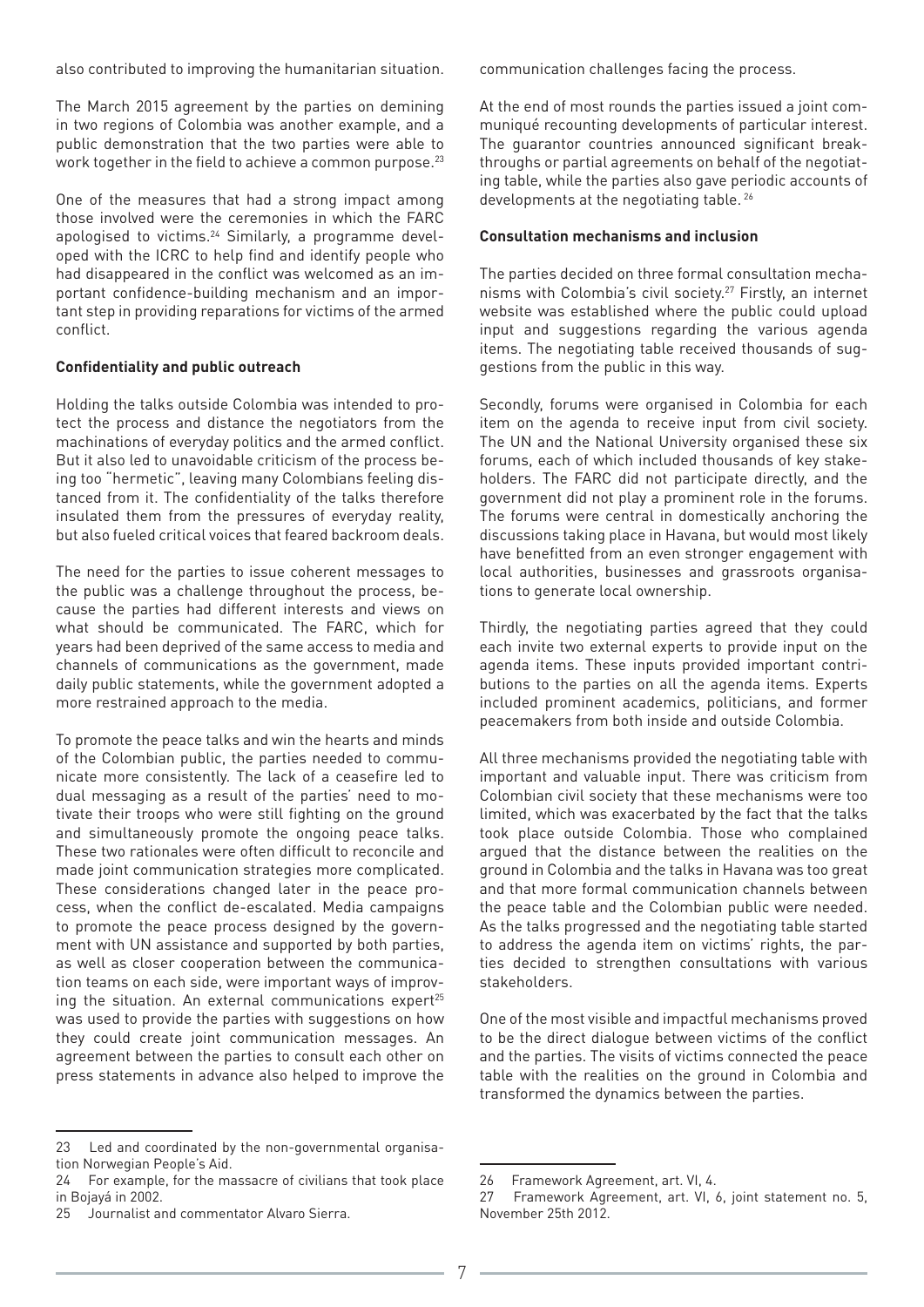also contributed to improving the humanitarian situation.

The March 2015 agreement by the parties on demining in two regions of Colombia was another example, and a public demonstration that the two parties were able to work together in the field to achieve a common purpose.<sup>23</sup>

One of the measures that had a strong impact among those involved were the ceremonies in which the FARC apologised to victims.<sup>24</sup> Similarly, a programme developed with the ICRC to help find and identify people who had disappeared in the conflict was welcomed as an important confidence-building mechanism and an important step in providing reparations for victims of the armed conflict.

#### **Confidentiality and public outreach**

Holding the talks outside Colombia was intended to protect the process and distance the negotiators from the machinations of everyday politics and the armed conflict. But it also led to unavoidable criticism of the process being too "hermetic", leaving many Colombians feeling distanced from it. The confidentiality of the talks therefore insulated them from the pressures of everyday reality, but also fueled critical voices that feared backroom deals.

The need for the parties to issue coherent messages to the public was a challenge throughout the process, because the parties had different interests and views on what should be communicated. The FARC, which for years had been deprived of the same access to media and channels of communications as the government, made daily public statements, while the government adopted a more restrained approach to the media.

To promote the peace talks and win the hearts and minds of the Colombian public, the parties needed to communicate more consistently. The lack of a ceasefire led to dual messaging as a result of the parties' need to motivate their troops who were still fighting on the ground and simultaneously promote the ongoing peace talks. These two rationales were often difficult to reconcile and made joint communication strategies more complicated. These considerations changed later in the peace process, when the conflict de-escalated. Media campaigns to promote the peace process designed by the government with UN assistance and supported by both parties, as well as closer cooperation between the communication teams on each side, were important ways of improving the situation. An external communications expert<sup>25</sup> was used to provide the parties with suggestions on how they could create joint communication messages. An agreement between the parties to consult each other on press statements in advance also helped to improve the

communication challenges facing the process.

At the end of most rounds the parties issued a joint communiqué recounting developments of particular interest. The guarantor countries announced significant breakthroughs or partial agreements on behalf of the negotiating table, while the parties also gave periodic accounts of developments at the negotiating table.<sup>26</sup>

#### **Consultation mechanisms and inclusion**

The parties decided on three formal consultation mechanisms with Colombia's civil society.27 Firstly, an internet website was established where the public could upload input and suggestions regarding the various agenda items. The negotiating table received thousands of suggestions from the public in this way.

Secondly, forums were organised in Colombia for each item on the agenda to receive input from civil society. The UN and the National University organised these six forums, each of which included thousands of key stakeholders. The FARC did not participate directly, and the government did not play a prominent role in the forums. The forums were central in domestically anchoring the discussions taking place in Havana, but would most likely have benefitted from an even stronger engagement with local authorities, businesses and grassroots organisations to generate local ownership.

Thirdly, the negotiating parties agreed that they could each invite two external experts to provide input on the agenda items. These inputs provided important contributions to the parties on all the agenda items. Experts included prominent academics, politicians, and former peacemakers from both inside and outside Colombia.

All three mechanisms provided the negotiating table with important and valuable input. There was criticism from Colombian civil society that these mechanisms were too limited, which was exacerbated by the fact that the talks took place outside Colombia. Those who complained argued that the distance between the realities on the ground in Colombia and the talks in Havana was too great and that more formal communication channels between the peace table and the Colombian public were needed. As the talks progressed and the negotiating table started to address the agenda item on victims' rights, the parties decided to strengthen consultations with various stakeholders.

One of the most visible and impactful mechanisms proved to be the direct dialogue between victims of the conflict and the parties. The visits of victims connected the peace table with the realities on the ground in Colombia and transformed the dynamics between the parties.

<sup>23</sup> Led and coordinated by the non-governmental organisation Norwegian People's Aid.

<sup>24</sup> For example, for the massacre of civilians that took place in Bojayá in 2002.

<sup>25</sup> Journalist and commentator Alvaro Sierra.

<sup>26</sup> Framework Agreement, art. VI, 4.

<sup>27</sup> Framework Agreement, art. VI, 6, joint statement no. 5, November 25th 2012.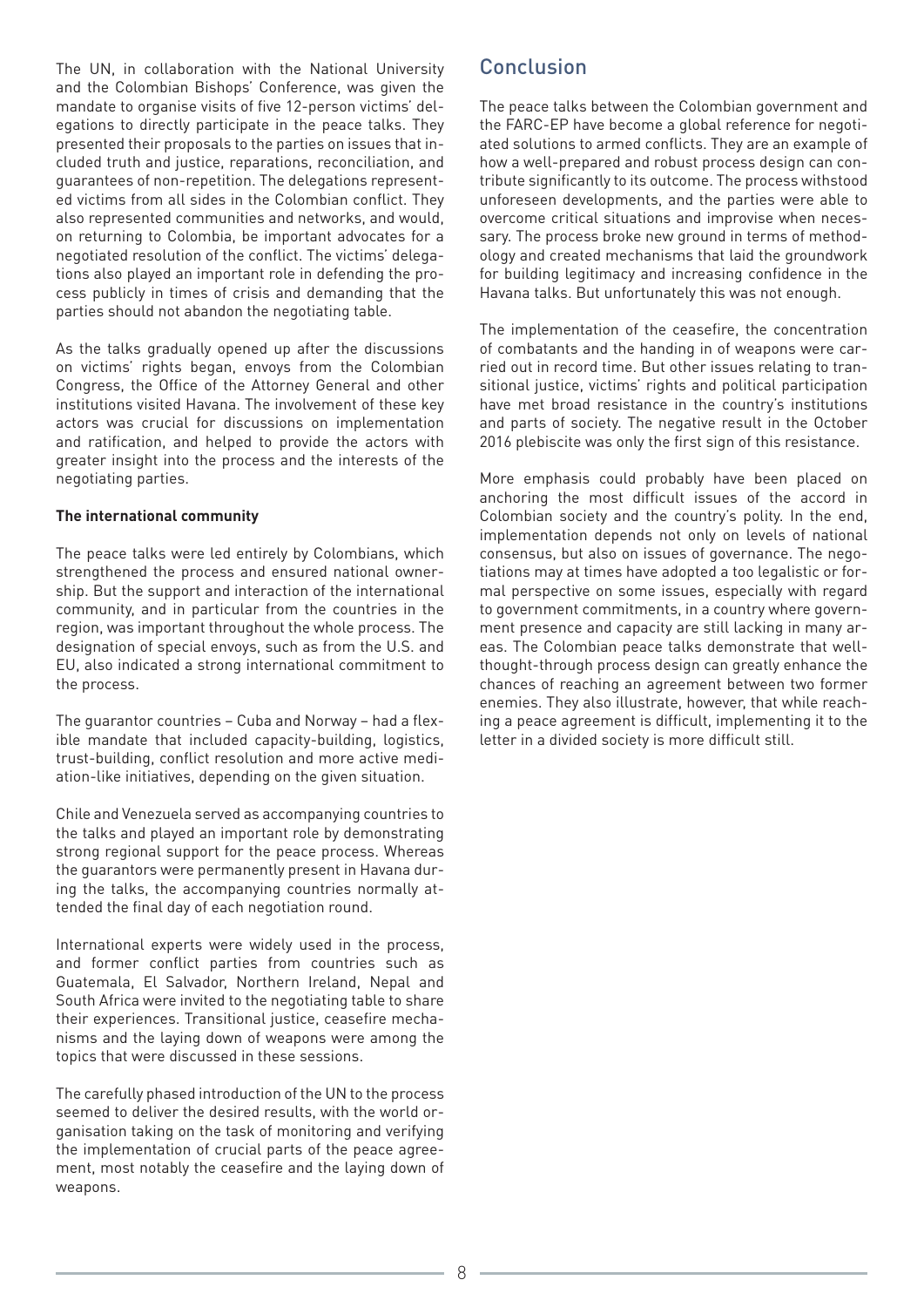The UN, in collaboration with the National University and the Colombian Bishops' Conference, was given the mandate to organise visits of five 12-person victims' delegations to directly participate in the peace talks. They presented their proposals to the parties on issues that included truth and justice, reparations, reconciliation, and guarantees of non-repetition. The delegations represented victims from all sides in the Colombian conflict. They also represented communities and networks, and would, on returning to Colombia, be important advocates for a negotiated resolution of the conflict. The victims' delegations also played an important role in defending the process publicly in times of crisis and demanding that the parties should not abandon the negotiating table.

As the talks gradually opened up after the discussions on victims' rights began, envoys from the Colombian Congress, the Office of the Attorney General and other institutions visited Havana. The involvement of these key actors was crucial for discussions on implementation and ratification, and helped to provide the actors with greater insight into the process and the interests of the negotiating parties.

#### **The international community**

The peace talks were led entirely by Colombians, which strengthened the process and ensured national ownership. But the support and interaction of the international community, and in particular from the countries in the region, was important throughout the whole process. The designation of special envoys, such as from the U.S. and EU, also indicated a strong international commitment to the process.

The guarantor countries – Cuba and Norway – had a flexible mandate that included capacity-building, logistics, trust-building, conflict resolution and more active mediation-like initiatives, depending on the given situation.

Chile and Venezuela served as accompanying countries to the talks and played an important role by demonstrating strong regional support for the peace process. Whereas the guarantors were permanently present in Havana during the talks, the accompanying countries normally attended the final day of each negotiation round.

International experts were widely used in the process, and former conflict parties from countries such as Guatemala, El Salvador, Northern Ireland, Nepal and South Africa were invited to the negotiating table to share their experiences. Transitional justice, ceasefire mechanisms and the laying down of weapons were among the topics that were discussed in these sessions.

The carefully phased introduction of the UN to the process seemed to deliver the desired results, with the world organisation taking on the task of monitoring and verifying the implementation of crucial parts of the peace agreement, most notably the ceasefire and the laying down of weapons.

### Conclusion

The peace talks between the Colombian government and the FARC-EP have become a global reference for negotiated solutions to armed conflicts. They are an example of how a well-prepared and robust process design can contribute significantly to its outcome. The process withstood unforeseen developments, and the parties were able to overcome critical situations and improvise when necessary. The process broke new ground in terms of methodology and created mechanisms that laid the groundwork for building legitimacy and increasing confidence in the Havana talks. But unfortunately this was not enough.

The implementation of the ceasefire, the concentration of combatants and the handing in of weapons were carried out in record time. But other issues relating to transitional justice, victims' rights and political participation have met broad resistance in the country's institutions and parts of society. The negative result in the October 2016 plebiscite was only the first sign of this resistance.

More emphasis could probably have been placed on anchoring the most difficult issues of the accord in Colombian society and the country's polity. In the end, implementation depends not only on levels of national consensus, but also on issues of governance. The negotiations may at times have adopted a too legalistic or formal perspective on some issues, especially with regard to government commitments, in a country where government presence and capacity are still lacking in many areas. The Colombian peace talks demonstrate that wellthought-through process design can greatly enhance the chances of reaching an agreement between two former enemies. They also illustrate, however, that while reaching a peace agreement is difficult, implementing it to the letter in a divided society is more difficult still.